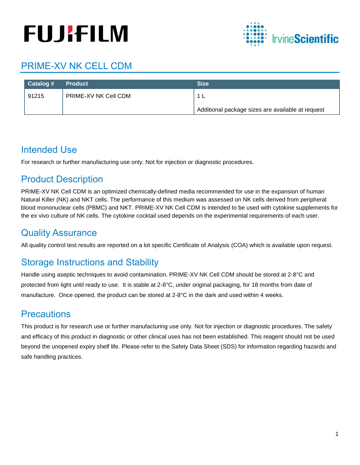# **FUJIFILM**



# PRIME-XV NK CELL CDM

| ∣ Catalog # | Product              | <b>Size</b>                                       |
|-------------|----------------------|---------------------------------------------------|
| 91215       | PRIME-XV NK Cell CDM |                                                   |
|             |                      | Additional package sizes are available at request |

## Intended Use

For research or further manufacturing use only. Not for injection or diagnostic procedures.

## Product Description

PRIME-XV NK Cell CDM is an optimized chemically-defined media recommended for use in the expansion of human Natural Killer (NK) and NKT cells. The performance of this medium was assessed on NK cells derived from peripheral blood mononuclear cells (PBMC) and NKT. PRIME-XV NK Cell CDM is intended to be used with cytokine supplements for the ex vivo culture of NK cells. The cytokine cocktail used depends on the experimental requirements of each user.

## Quality Assurance

All quality control test results are reported on a lot specific Certificate of Analysis (COA) which is available upon request.

## Storage Instructions and Stability

Handle using aseptic techniques to avoid contamination. PRIME-XV NK Cell CDM should be stored at 2-8°C and protected from light until ready to use. It is stable at 2-8°C, under original packaging, for 18 months from date of manufacture. Once opened, the product can be stored at 2-8°C in the dark and used within 4 weeks.

## **Precautions**

This product is for research use or further manufacturing use only. Not for injection or diagnostic procedures. The safety and efficacy of this product in diagnostic or other clinical uses has not been established. This reagent should not be used beyond the unopened expiry shelf life. Please refer to the Safety Data Sheet (SDS) for information regarding hazards and safe handling practices.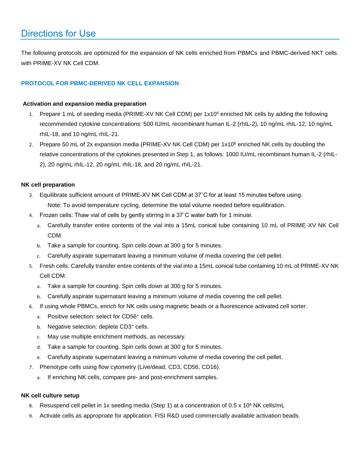## Directions for Use

The following protocols are optimized for the expansion of NK cells enriched from PBMCs and PBMC-derived NKT cells. with PRIME-XV NK Cell CDM.

#### **PROTOCOL FOR PBMC-DERIVED NK CELL EXPANSION**

#### **Activation and expansion media preparation**

- 1. Prepare 1 mL of seeding media (PRIME-XV NK Cell CDM) per 1x10<sup>6</sup> enriched NK cells by adding the following recommended cytokine concentrations: 500 IU/mL recombinant human IL-2 (rhIL-2), 10 ng/mL rhIL-12, 10 ng/mL rhIL-18, and 10 ng/mL rhIL-21.
- 2. Prepare 50 mL of 2x expansion media (PRIME-XV NK Cell CDM) per 1x10<sup>6</sup> enriched NK cells by doubling the relative concentrations of the cytokines presented in Step 1, as follows: 1000 IU/mL recombinant human IL-2 (rhIL-2), 20 ng/mL rhIL-12, 20 ng/mL rhIL-18, and 20 ng/mL rhIL-21.

#### **NK cell preparation**

- 3. Equilibrate sufficient amount of PRIME-XV NK Cell CDM at 37˚C for at least 15 minutes before using. Note: To avoid temperature cycling, determine the total volume needed before equilibration.
- 4. Frozen cells: Thaw vial of cells by gently stirring in a 37˚C water bath for 1 minute.
	- a. Carefully transfer entire contents of the vial into a 15mL conical tube containing 10 mL of PRIME-XV NK Cell CDM.
	- b. Take a sample for counting. Spin cells down at 300 g for 5 minutes.
	- c. Carefully aspirate supernatant leaving a minimum volume of media covering the cell pellet.
- 5. Fresh cells: Carefully transfer entire contents of the vial into a 15mL conical tube containing 10 mL of PRIME-XV NK Cell CDM.
	- a. Take a sample for counting. Spin cells down at 300 g for 5 minutes.
	- b. Carefully aspirate supernatant leaving a minimum volume of media covering the cell pellet.
- 6. If using whole PBMCs, enrich for NK cells using magnetic beads or a fluorescence activated cell sorter.
	- a. Positive selection: select for CD56<sup>+</sup> cells.
	- b. Negative selection: deplete CD3+ cells.
	- c. May use multiple enrichment methods, as necessary.
	- d. Take a sample for counting. Spin cells down at 300 g for 5 minutes.
	- e. Carefully aspirate supernatant leaving a minimum volume of media covering the cell pellet.
- 7. Phenotype cells using flow cytometry (Live/dead, CD3, CD56, CD16).
	- a. If enriching NK cells, compare pre- and post-enrichment samples.

#### **NK cell culture setup**

- 8. Resuspend cell pellet in 1x seeding media (Step 1) at a concentration of 0.5 x 10<sup>6</sup> NK cells/mL
- 9. Activate cells as appropriate for application. FISI R&D used commercially available activation beads.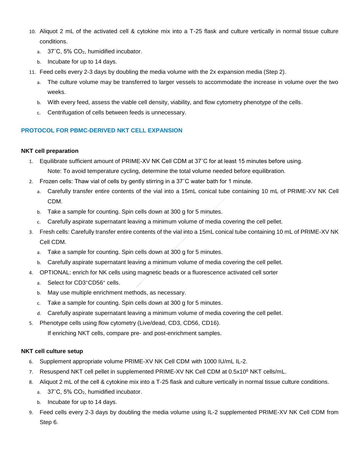- 10. Aliquot 2 mL of the activated cell & cytokine mix into a T-25 flask and culture vertically in normal tissue culture conditions.
	- a. 37˚C, 5% CO2, humidified incubator.
	- b. Incubate for up to 14 days.
- 11. Feed cells every 2-3 days by doubling the media volume with the 2x expansion media (Step 2).
	- a. The culture volume may be transferred to larger vessels to accommodate the increase in volume over the two weeks.
	- b. With every feed, assess the viable cell density, viability, and flow cytometry phenotype of the cells.
	- c. Centrifugation of cells between feeds is unnecessary.

#### **PROTOCOL FOR PBMC-DERIVED NKT CELL EXPANSION**

#### **NKT cell preparation**

- 1. Equilibrate sufficient amount of PRIME-XV NK Cell CDM at 37˚C for at least 15 minutes before using. Note: To avoid temperature cycling, determine the total volume needed before equilibration.
- 2. Frozen cells: Thaw vial of cells by gently stirring in a 37˚C water bath for 1 minute.
	- a. Carefully transfer entire contents of the vial into a 15mL conical tube containing 10 mL of PRIME-XV NK Cell CDM.
	- b. Take a sample for counting. Spin cells down at 300 g for 5 minutes.
	- c. Carefully aspirate supernatant leaving a minimum volume of media covering the cell pellet.
- 3. Fresh cells: Carefully transfer entire contents of the vial into a 15mL conical tube containing 10 mL of PRIME-XV NK Cell CDM.
	- a. Take a sample for counting. Spin cells down at 300 g for 5 minutes.
	- b. Carefully aspirate supernatant leaving a minimum volume of media covering the cell pellet.
- 4. OPTIONAL: enrich for NK cells using magnetic beads or a fluorescence activated cell sorter
	- a. Select for CD3<sup>+</sup>CD56<sup>+</sup> cells.
	- b. May use multiple enrichment methods, as necessary.
	- c. Take a sample for counting. Spin cells down at 300 g for 5 minutes.
	- d. Carefully aspirate supernatant leaving a minimum volume of media covering the cell pellet.
- 5. Phenotype cells using flow cytometry (Live/dead, CD3, CD56, CD16).

If enriching NKT cells, compare pre- and post-enrichment samples.

#### **NKT cell culture setup**

- 6. Supplement appropriate volume PRIME-XV NK Cell CDM with 1000 IU/mL IL-2.
- 7. Resuspend NKT cell pellet in supplemented PRIME-XV NK Cell CDM at 0.5x10<sup>6</sup> NKT cells/mL.
- 8. Aliquot 2 mL of the cell & cytokine mix into a T-25 flask and culture vertically in normal tissue culture conditions.
	- a. 37°C, 5% CO<sub>2</sub>, humidified incubator.
	- b. Incubate for up to 14 days.
- 9. Feed cells every 2-3 days by doubling the media volume using IL-2 supplemented PRIME-XV NK Cell CDM from Step 6.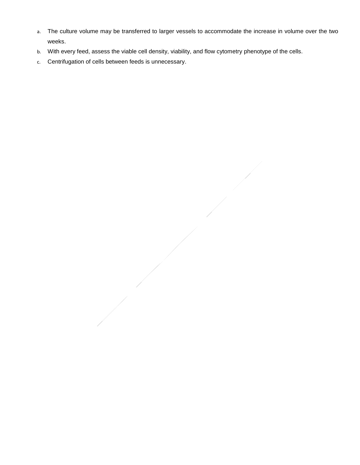- a. The culture volume may be transferred to larger vessels to accommodate the increase in volume over the two weeks.
- b. With every feed, assess the viable cell density, viability, and flow cytometry phenotype of the cells.
- c. Centrifugation of cells between feeds is unnecessary.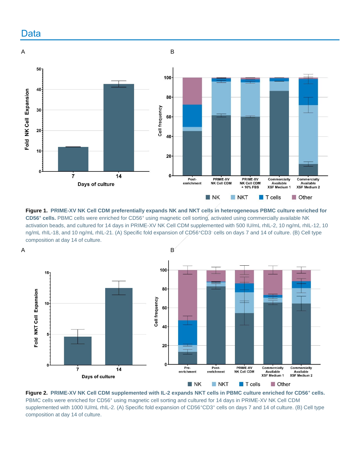





**Figure 2. PRIME-XV NK Cell CDM supplemented with IL-2 expands NKT cells in PBMC culture enriched for CD56<sup>+</sup> cells.**  PBMC cells were enriched for CD56<sup>+</sup> using magnetic cell sorting and cultured for 14 days in PRIME-XV NK Cell CDM supplemented with 1000 IU/mL rhIL-2. (A) Specific fold expansion of CD56<sup>+</sup>CD3<sup>+</sup> cells on days 7 and 14 of culture. (B) Cell type composition at day 14 of culture.